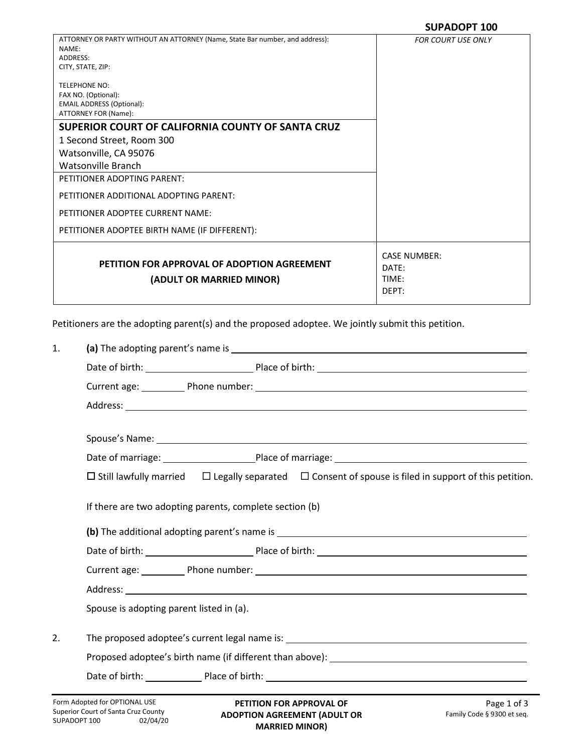|                                                                                       | JUI NUVI I 100                                 |
|---------------------------------------------------------------------------------------|------------------------------------------------|
| ATTORNEY OR PARTY WITHOUT AN ATTORNEY (Name, State Bar number, and address):<br>NAME: | <b>FOR COURT USE ONLY</b>                      |
| ADDRESS:                                                                              |                                                |
| CITY, STATE, ZIP:                                                                     |                                                |
| <b>TELEPHONE NO:</b>                                                                  |                                                |
| FAX NO. (Optional):                                                                   |                                                |
| <b>EMAIL ADDRESS (Optional):</b>                                                      |                                                |
| ATTORNEY FOR (Name):                                                                  |                                                |
| SUPERIOR COURT OF CALIFORNIA COUNTY OF SANTA CRUZ                                     |                                                |
| 1 Second Street, Room 300                                                             |                                                |
| Watsonville, CA 95076                                                                 |                                                |
| Watsonville Branch                                                                    |                                                |
| PETITIONER ADOPTING PARENT:                                                           |                                                |
| PETITIONER ADDITIONAL ADOPTING PARENT:                                                |                                                |
| PETITIONER ADOPTEE CURRENT NAME:                                                      |                                                |
| PETITIONER ADOPTEE BIRTH NAME (IF DIFFERENT):                                         |                                                |
| PETITION FOR APPROVAL OF ADOPTION AGREEMENT<br>(ADULT OR MARRIED MINOR)               | <b>CASE NUMBER:</b><br>DATF:<br>TIME:<br>DEPT: |
|                                                                                       |                                                |

Petitioners are the adopting parent(s) and the proposed adoptee. We jointly submit this petition.

| 1. |                                                                                                                       |  |  |  |
|----|-----------------------------------------------------------------------------------------------------------------------|--|--|--|
|    |                                                                                                                       |  |  |  |
|    |                                                                                                                       |  |  |  |
|    |                                                                                                                       |  |  |  |
|    |                                                                                                                       |  |  |  |
|    |                                                                                                                       |  |  |  |
|    | $\Box$ Still lawfully married $\Box$ Legally separated $\Box$ Consent of spouse is filed in support of this petition. |  |  |  |
|    | If there are two adopting parents, complete section (b)                                                               |  |  |  |
|    |                                                                                                                       |  |  |  |
|    |                                                                                                                       |  |  |  |
|    |                                                                                                                       |  |  |  |
|    |                                                                                                                       |  |  |  |
|    | Spouse is adopting parent listed in (a).                                                                              |  |  |  |
| 2. |                                                                                                                       |  |  |  |
|    |                                                                                                                       |  |  |  |
|    |                                                                                                                       |  |  |  |
|    | Form Adopted for OPTIONAL USE<br>Page 1 of 3<br><b>PETITION FOR APPROVAL OF</b>                                       |  |  |  |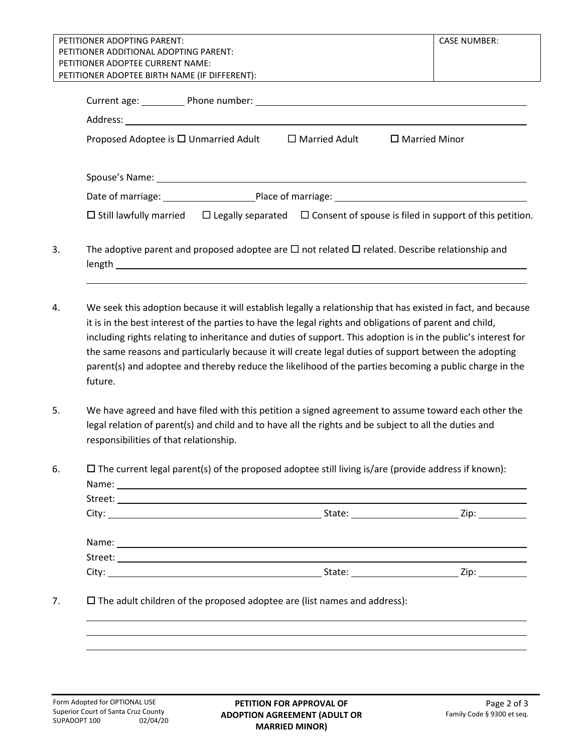| PETITIONER ADOPTING PARENT:<br><b>CASE NUMBER:</b><br>PETITIONER ADDITIONAL ADOPTING PARENT:                                                                                                                                                                                                                                                                                                                                                                                                                                                                           |  |  |  |  |
|------------------------------------------------------------------------------------------------------------------------------------------------------------------------------------------------------------------------------------------------------------------------------------------------------------------------------------------------------------------------------------------------------------------------------------------------------------------------------------------------------------------------------------------------------------------------|--|--|--|--|
| PETITIONER ADOPTEE CURRENT NAME:                                                                                                                                                                                                                                                                                                                                                                                                                                                                                                                                       |  |  |  |  |
| PETITIONER ADOPTEE BIRTH NAME (IF DIFFERENT):                                                                                                                                                                                                                                                                                                                                                                                                                                                                                                                          |  |  |  |  |
| Current age: Phone number: 1999 Manual Manual Manual Manual Manual Manual Manual Manual Manual Manual Manual M                                                                                                                                                                                                                                                                                                                                                                                                                                                         |  |  |  |  |
|                                                                                                                                                                                                                                                                                                                                                                                                                                                                                                                                                                        |  |  |  |  |
| $\Box$ Married Adult<br>Proposed Adoptee is $\square$ Unmarried Adult<br>$\Box$ Married Minor                                                                                                                                                                                                                                                                                                                                                                                                                                                                          |  |  |  |  |
| Spouse's Name: 1988 Contract Contract Contract Contract Contract Contract Contract Contract Contract Contract Contract Contract Contract Contract Contract Contract Contract Contract Contract Contract Contract Contract Cont                                                                                                                                                                                                                                                                                                                                         |  |  |  |  |
|                                                                                                                                                                                                                                                                                                                                                                                                                                                                                                                                                                        |  |  |  |  |
| $\Box$ Legally separated $\Box$ Consent of spouse is filed in support of this petition.<br>$\Box$ Still lawfully married                                                                                                                                                                                                                                                                                                                                                                                                                                               |  |  |  |  |
| The adoptive parent and proposed adoptee are $\Box$ not related $\Box$ related. Describe relationship and                                                                                                                                                                                                                                                                                                                                                                                                                                                              |  |  |  |  |
| We seek this adoption because it will establish legally a relationship that has existed in fact, and because<br>it is in the best interest of the parties to have the legal rights and obligations of parent and child,<br>including rights relating to inheritance and duties of support. This adoption is in the public's interest for<br>the same reasons and particularly because it will create legal duties of support between the adopting<br>parent(s) and adoptee and thereby reduce the likelihood of the parties becoming a public charge in the<br>future. |  |  |  |  |
|                                                                                                                                                                                                                                                                                                                                                                                                                                                                                                                                                                        |  |  |  |  |
| We have agreed and have filed with this petition a signed agreement to assume toward each other the<br>legal relation of parent(s) and child and to have all the rights and be subject to all the duties and<br>responsibilities of that relationship.                                                                                                                                                                                                                                                                                                                 |  |  |  |  |
| $\Box$ The current legal parent(s) of the proposed adoptee still living is/are (provide address if known):                                                                                                                                                                                                                                                                                                                                                                                                                                                             |  |  |  |  |
|                                                                                                                                                                                                                                                                                                                                                                                                                                                                                                                                                                        |  |  |  |  |
|                                                                                                                                                                                                                                                                                                                                                                                                                                                                                                                                                                        |  |  |  |  |
|                                                                                                                                                                                                                                                                                                                                                                                                                                                                                                                                                                        |  |  |  |  |
| $\square$ The adult children of the proposed adoptee are (list names and address):                                                                                                                                                                                                                                                                                                                                                                                                                                                                                     |  |  |  |  |
|                                                                                                                                                                                                                                                                                                                                                                                                                                                                                                                                                                        |  |  |  |  |